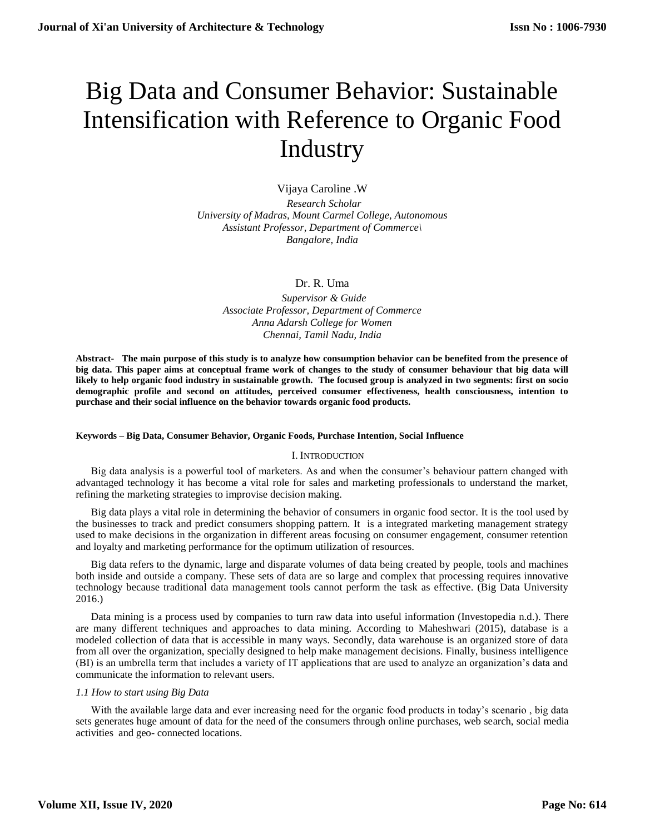# Big Data and Consumer Behavior: Sustainable Intensification with Reference to Organic Food **Industry**

Vijaya Caroline .W  *Research Scholar University of Madras, Mount Carmel College, Autonomous Assistant Professor, Department of Commerce\ Bangalore, India*

Dr. R. Uma

 *Supervisor & Guide Associate Professor, Department of Commerce Anna Adarsh College for Women Chennai, Tamil Nadu, India*

**Abstract- The main purpose of this study is to analyze how consumption behavior can be benefited from the presence of big data. This paper aims at conceptual frame work of changes to the study of consumer behaviour that big data will likely to help organic food industry in sustainable growth. The focused group is analyzed in two segments: first on socio demographic profile and second on attitudes, perceived consumer effectiveness, health consciousness, intention to purchase and their social influence on the behavior towards organic food products.**

# **Keywords – Big Data, Consumer Behavior, Organic Foods, Purchase Intention, Social Influence**

# I. INTRODUCTION

Big data analysis is a powerful tool of marketers. As and when the consumer's behaviour pattern changed with advantaged technology it has become a vital role for sales and marketing professionals to understand the market, refining the marketing strategies to improvise decision making.

Big data plays a vital role in determining the behavior of consumers in organic food sector. It is the tool used by the businesses to track and predict consumers shopping pattern. It is a integrated marketing management strategy used to make decisions in the organization in different areas focusing on consumer engagement, consumer retention and loyalty and marketing performance for the optimum utilization of resources.

Big data refers to the dynamic, large and disparate volumes of data being created by people, tools and machines both inside and outside a company. These sets of data are so large and complex that processing requires innovative technology because traditional data management tools cannot perform the task as effective. (Big Data University 2016.)

Data mining is a process used by companies to turn raw data into useful information (Investopedia n.d.). There are many different techniques and approaches to data mining. According to Maheshwari (2015), database is a modeled collection of data that is accessible in many ways. Secondly, data warehouse is an organized store of data from all over the organization, specially designed to help make management decisions. Finally, business intelligence (BI) is an umbrella term that includes a variety of IT applications that are used to analyze an organization's data and communicate the information to relevant users.

# *1.1 How to start using Big Data*

With the available large data and ever increasing need for the organic food products in today's scenario, big data sets generates huge amount of data for the need of the consumers through online purchases, web search, social media activities and geo- connected locations.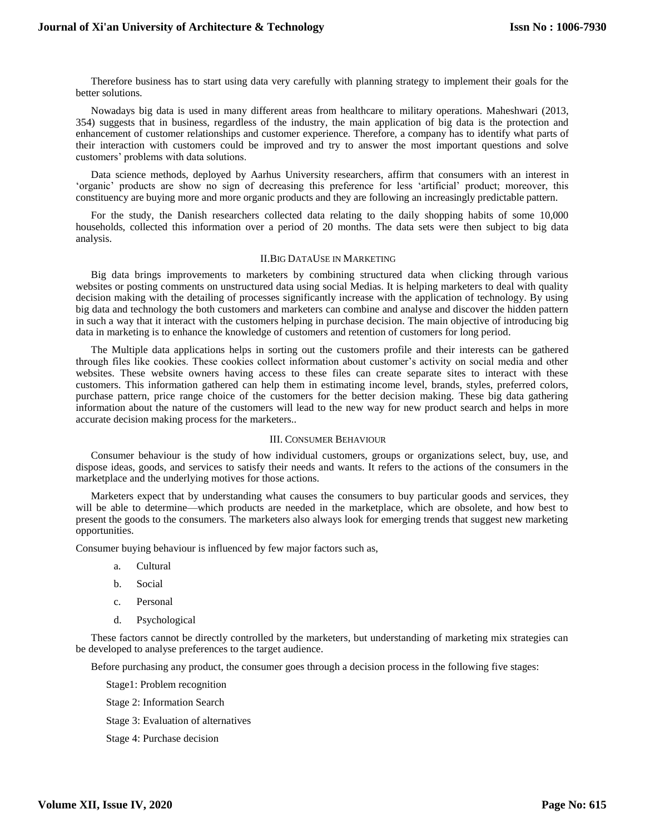Therefore business has to start using data very carefully with planning strategy to implement their goals for the better solutions.

Nowadays big data is used in many different areas from healthcare to military operations. Maheshwari (2013, 354) suggests that in business, regardless of the industry, the main application of big data is the protection and enhancement of customer relationships and customer experience. Therefore, a company has to identify what parts of their interaction with customers could be improved and try to answer the most important questions and solve customers' problems with data solutions.

Data science methods, deployed by Aarhus University researchers, affirm that consumers with an interest in 'organic' products are show no sign of decreasing this preference for less 'artificial' product; moreover, this constituency are buying more and more organic products and they are following an increasingly predictable pattern.

For the study, the Danish researchers collected data relating to the daily shopping habits of some 10,000 households, collected this information over a period of 20 months. The data sets were then subject to big data analysis.

## II.BIG DATAUSE IN MARKETING

Big data brings improvements to marketers by combining structured data when clicking through various websites or posting comments on unstructured data using social Medias. It is helping marketers to deal with quality decision making with the detailing of processes significantly increase with the application of technology. By using big data and technology the both customers and marketers can combine and analyse and discover the hidden pattern in such a way that it interact with the customers helping in purchase decision. The main objective of introducing big data in marketing is to enhance the knowledge of customers and retention of customers for long period.

The Multiple data applications helps in sorting out the customers profile and their interests can be gathered through files like cookies. These cookies collect information about customer's activity on social media and other websites. These website owners having access to these files can create separate sites to interact with these customers. This information gathered can help them in estimating income level, brands, styles, preferred colors, purchase pattern, price range choice of the customers for the better decision making. These big data gathering information about the nature of the customers will lead to the new way for new product search and helps in more accurate decision making process for the marketers..

#### III. CONSUMER BEHAVIOUR

Consumer behaviour is the study of how individual customers, groups or organizations select, buy, use, and dispose ideas, goods, and services to satisfy their needs and wants. It refers to the actions of the consumers in the marketplace and the underlying motives for those actions.

Marketers expect that by understanding what causes the consumers to buy particular goods and services, they will be able to determine—which products are needed in the marketplace, which are obsolete, and how best to present the goods to the consumers. The marketers also always look for emerging trends that suggest new marketing opportunities.

Consumer buying behaviour is influenced by few major factors such as,

- a. Cultural
- b. Social
- c. Personal
- d. Psychological

These factors cannot be directly controlled by the marketers, but understanding of marketing mix strategies can be developed to analyse preferences to the target audience.

Before purchasing any product, the consumer goes through a decision process in the following five stages:

Stage1: Problem recognition

Stage 2: Information Search

Stage 3: Evaluation of alternatives

Stage 4: Purchase decision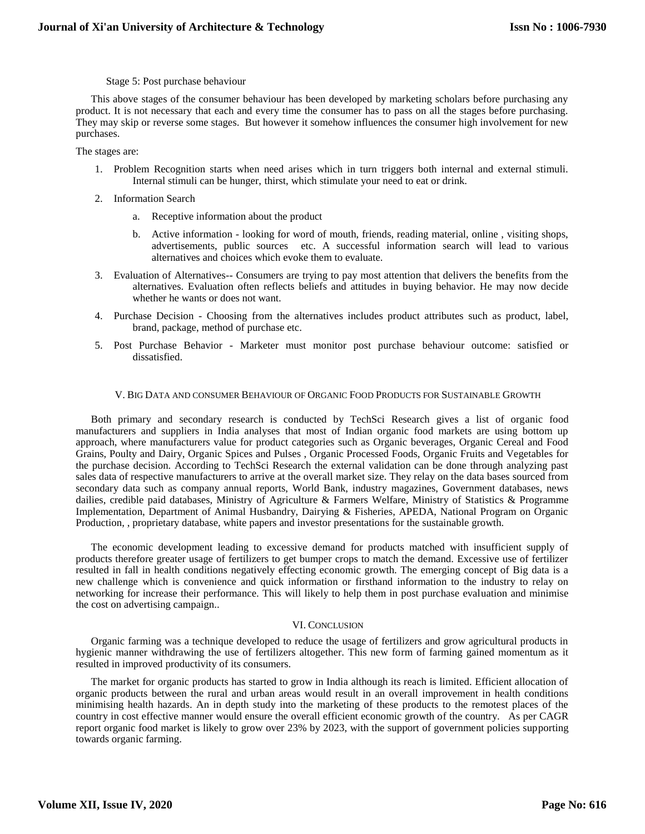## Stage 5: Post purchase behaviour

This above stages of the consumer behaviour has been developed by marketing scholars before purchasing any product. It is not necessary that each and every time the consumer has to pass on all the stages before purchasing. They may skip or reverse some stages. But however it somehow influences the consumer high involvement for new purchases.

The stages are:

- 1. Problem Recognition starts when need arises which in turn triggers both internal and external stimuli. Internal stimuli can be hunger, thirst, which stimulate your need to eat or drink.
- 2. Information Search
	- a. Receptive information about the product
	- b. Active information looking for word of mouth, friends, reading material, online , visiting shops, advertisements, public sources etc. A successful information search will lead to various alternatives and choices which evoke them to evaluate.
- 3. Evaluation of Alternatives-- Consumers are trying to pay most attention that delivers the benefits from the alternatives. Evaluation often reflects beliefs and attitudes in buying behavior. He may now decide whether he wants or does not want.
- 4. Purchase Decision Choosing from the alternatives includes product attributes such as product, label, brand, package, method of purchase etc.
- 5. Post Purchase Behavior Marketer must monitor post purchase behaviour outcome: satisfied or dissatisfied.

## V. BIG DATA AND CONSUMER BEHAVIOUR OF ORGANIC FOOD PRODUCTS FOR SUSTAINABLE GROWTH

Both primary and secondary research is conducted by TechSci Research gives a list of organic food manufacturers and suppliers in India analyses that most of Indian organic food markets are using bottom up approach, where manufacturers value for product categories such as Organic beverages, Organic Cereal and Food Grains, Poulty and Dairy, Organic Spices and Pulses , Organic Processed Foods, Organic Fruits and Vegetables for the purchase decision. According to TechSci Research the external validation can be done through analyzing past sales data of respective manufacturers to arrive at the overall market size. They relay on the data bases sourced from secondary data such as company annual reports, World Bank, industry magazines, Government databases, news dailies, credible paid databases, Ministry of Agriculture & Farmers Welfare, Ministry of Statistics & Programme Implementation, Department of Animal Husbandry, Dairying & Fisheries, APEDA, National Program on Organic Production, , proprietary database, white papers and investor presentations for the sustainable growth.

The economic development leading to excessive demand for products matched with insufficient supply of products therefore greater usage of fertilizers to get bumper crops to match the demand. Excessive use of fertilizer resulted in fall in health conditions negatively effecting economic growth. The emerging concept of Big data is a new challenge which is convenience and quick information or firsthand information to the industry to relay on networking for increase their performance. This will likely to help them in post purchase evaluation and minimise the cost on advertising campaign..

# VI. CONCLUSION

Organic farming was a technique developed to reduce the usage of fertilizers and grow agricultural products in hygienic manner withdrawing the use of fertilizers altogether. This new form of farming gained momentum as it resulted in improved productivity of its consumers.

The market for organic products has started to grow in India although its reach is limited. Efficient allocation of organic products between the rural and urban areas would result in an overall improvement in health conditions minimising health hazards. An in depth study into the marketing of these products to the remotest places of the country in cost effective manner would ensure the overall efficient economic growth of the country. As per CAGR report organic food market is likely to grow over 23% by 2023, with the support of government policies supporting towards organic farming.